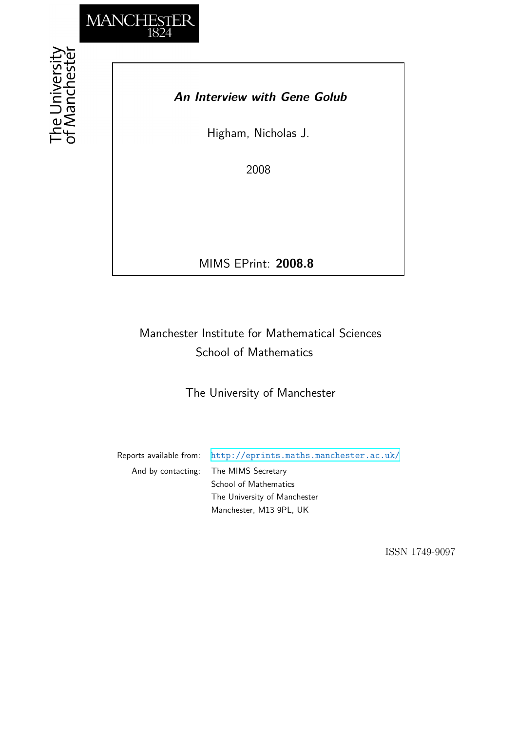

## *An Interview with Gene Golub*

Higham, Nicholas J.

2008

MIMS EPrint: **2008.8**

## Manchester Institute for Mathematical Sciences School of Mathematics

The University of Manchester

Reports available from: <http://eprints.maths.manchester.ac.uk/> And by contacting: The MIMS Secretary School of Mathematics The University of Manchester

Manchester, M13 9PL, UK

ISSN 1749-9097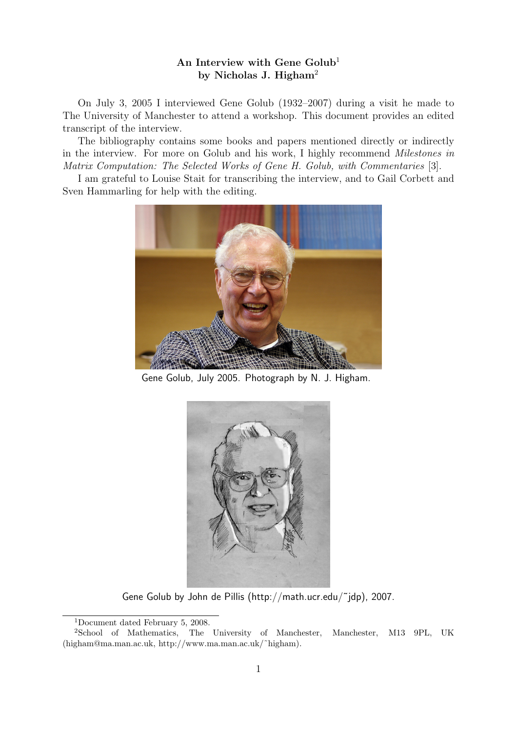## An Interview with Gene  $Golub<sup>1</sup>$ by Nicholas J. Higham<sup>2</sup>

On July 3, 2005 I interviewed Gene Golub (1932–2007) during a visit he made to The University of Manchester to attend a workshop. This document provides an edited transcript of the interview.

The bibliography contains some books and papers mentioned directly or indirectly in the interview. For more on Golub and his work, I highly recommend Milestones in Matrix Computation: The Selected Works of Gene H. Golub, with Commentaries [3].

I am grateful to Louise Stait for transcribing the interview, and to Gail Corbett and Sven Hammarling for help with the editing.



Gene Golub, July 2005. Photograph by N. J. Higham.



Gene Golub by John de Pillis (http://math.ucr.edu/˜jdp), 2007.

<sup>1</sup>Document dated February 5, 2008.

<sup>&</sup>lt;sup>2</sup>School of Mathematics, The University of Manchester, Manchester, M13 9PL, UK (higham@ma.man.ac.uk, http://www.ma.man.ac.uk/˜higham).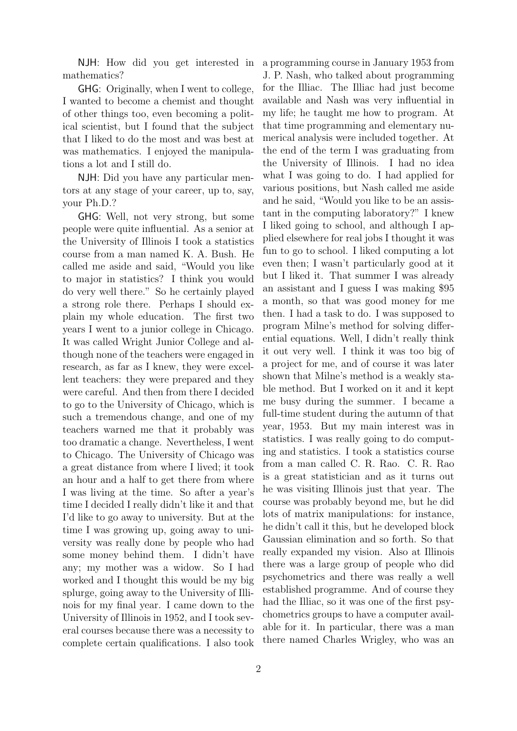NJH: How did you get interested in mathematics?

GHG: Originally, when I went to college, I wanted to become a chemist and thought of other things too, even becoming a political scientist, but I found that the subject that I liked to do the most and was best at was mathematics. I enjoyed the manipulations a lot and I still do.

NJH: Did you have any particular mentors at any stage of your career, up to, say, your Ph.D.?

GHG: Well, not very strong, but some people were quite influential. As a senior at the University of Illinois I took a statistics course from a man named K. A. Bush. He called me aside and said, "Would you like to major in statistics? I think you would do very well there." So he certainly played a strong role there. Perhaps I should explain my whole education. The first two years I went to a junior college in Chicago. It was called Wright Junior College and although none of the teachers were engaged in research, as far as I knew, they were excellent teachers: they were prepared and they were careful. And then from there I decided to go to the University of Chicago, which is such a tremendous change, and one of my teachers warned me that it probably was too dramatic a change. Nevertheless, I went to Chicago. The University of Chicago was a great distance from where I lived; it took an hour and a half to get there from where I was living at the time. So after a year's time I decided I really didn't like it and that I'd like to go away to university. But at the time I was growing up, going away to university was really done by people who had some money behind them. I didn't have any; my mother was a widow. So I had worked and I thought this would be my big splurge, going away to the University of Illinois for my final year. I came down to the University of Illinois in 1952, and I took several courses because there was a necessity to complete certain qualifications. I also took a programming course in January 1953 from J. P. Nash, who talked about programming for the Illiac. The Illiac had just become available and Nash was very influential in my life; he taught me how to program. At that time programming and elementary numerical analysis were included together. At the end of the term I was graduating from the University of Illinois. I had no idea what I was going to do. I had applied for various positions, but Nash called me aside and he said, "Would you like to be an assistant in the computing laboratory?" I knew I liked going to school, and although I applied elsewhere for real jobs I thought it was fun to go to school. I liked computing a lot even then; I wasn't particularly good at it but I liked it. That summer I was already an assistant and I guess I was making \$95 a month, so that was good money for me then. I had a task to do. I was supposed to program Milne's method for solving differential equations. Well, I didn't really think it out very well. I think it was too big of a project for me, and of course it was later shown that Milne's method is a weakly stable method. But I worked on it and it kept me busy during the summer. I became a full-time student during the autumn of that year, 1953. But my main interest was in statistics. I was really going to do computing and statistics. I took a statistics course from a man called C. R. Rao. C. R. Rao is a great statistician and as it turns out he was visiting Illinois just that year. The course was probably beyond me, but he did lots of matrix manipulations: for instance, he didn't call it this, but he developed block Gaussian elimination and so forth. So that really expanded my vision. Also at Illinois there was a large group of people who did psychometrics and there was really a well established programme. And of course they had the Illiac, so it was one of the first psychometrics groups to have a computer available for it. In particular, there was a man there named Charles Wrigley, who was an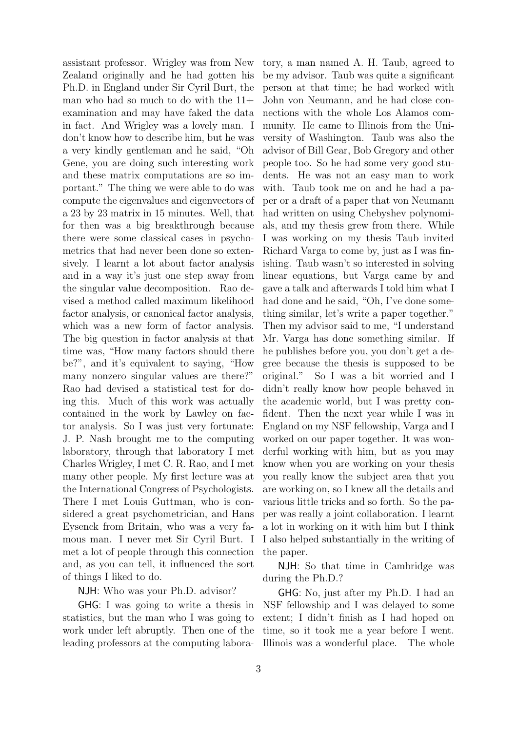assistant professor. Wrigley was from New Zealand originally and he had gotten his Ph.D. in England under Sir Cyril Burt, the man who had so much to do with the 11+ examination and may have faked the data in fact. And Wrigley was a lovely man. I don't know how to describe him, but he was a very kindly gentleman and he said, "Oh Gene, you are doing such interesting work and these matrix computations are so important." The thing we were able to do was compute the eigenvalues and eigenvectors of a 23 by 23 matrix in 15 minutes. Well, that for then was a big breakthrough because there were some classical cases in psychometrics that had never been done so extensively. I learnt a lot about factor analysis and in a way it's just one step away from the singular value decomposition. Rao devised a method called maximum likelihood factor analysis, or canonical factor analysis, which was a new form of factor analysis. The big question in factor analysis at that time was, "How many factors should there be?", and it's equivalent to saying, "How many nonzero singular values are there?" Rao had devised a statistical test for doing this. Much of this work was actually contained in the work by Lawley on factor analysis. So I was just very fortunate: J. P. Nash brought me to the computing laboratory, through that laboratory I met Charles Wrigley, I met C. R. Rao, and I met many other people. My first lecture was at the International Congress of Psychologists. There I met Louis Guttman, who is considered a great psychometrician, and Hans Eysenck from Britain, who was a very famous man. I never met Sir Cyril Burt. I met a lot of people through this connection and, as you can tell, it influenced the sort of things I liked to do.

NJH: Who was your Ph.D. advisor?

GHG: I was going to write a thesis in statistics, but the man who I was going to work under left abruptly. Then one of the leading professors at the computing laboratory, a man named A. H. Taub, agreed to be my advisor. Taub was quite a significant person at that time; he had worked with John von Neumann, and he had close connections with the whole Los Alamos community. He came to Illinois from the University of Washington. Taub was also the advisor of Bill Gear, Bob Gregory and other people too. So he had some very good students. He was not an easy man to work with. Taub took me on and he had a paper or a draft of a paper that von Neumann had written on using Chebyshev polynomials, and my thesis grew from there. While I was working on my thesis Taub invited Richard Varga to come by, just as I was finishing. Taub wasn't so interested in solving linear equations, but Varga came by and gave a talk and afterwards I told him what I had done and he said, "Oh, I've done something similar, let's write a paper together." Then my advisor said to me, "I understand Mr. Varga has done something similar. If he publishes before you, you don't get a degree because the thesis is supposed to be original." So I was a bit worried and I didn't really know how people behaved in the academic world, but I was pretty confident. Then the next year while I was in England on my NSF fellowship, Varga and I worked on our paper together. It was wonderful working with him, but as you may know when you are working on your thesis you really know the subject area that you are working on, so I knew all the details and various little tricks and so forth. So the paper was really a joint collaboration. I learnt a lot in working on it with him but I think I also helped substantially in the writing of the paper.

NJH: So that time in Cambridge was during the Ph.D.?

GHG: No, just after my Ph.D. I had an NSF fellowship and I was delayed to some extent; I didn't finish as I had hoped on time, so it took me a year before I went. Illinois was a wonderful place. The whole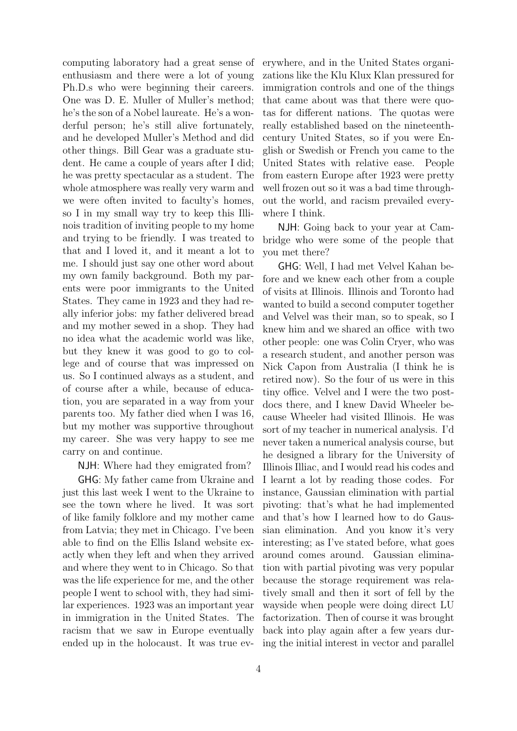computing laboratory had a great sense of enthusiasm and there were a lot of young Ph.D.s who were beginning their careers. One was D. E. Muller of Muller's method; he's the son of a Nobel laureate. He's a wonderful person; he's still alive fortunately, and he developed Muller's Method and did other things. Bill Gear was a graduate student. He came a couple of years after I did; he was pretty spectacular as a student. The whole atmosphere was really very warm and we were often invited to faculty's homes, so I in my small way try to keep this Illinois tradition of inviting people to my home and trying to be friendly. I was treated to that and I loved it, and it meant a lot to me. I should just say one other word about my own family background. Both my parents were poor immigrants to the United States. They came in 1923 and they had really inferior jobs: my father delivered bread and my mother sewed in a shop. They had no idea what the academic world was like, but they knew it was good to go to college and of course that was impressed on us. So I continued always as a student, and of course after a while, because of education, you are separated in a way from your parents too. My father died when I was 16, but my mother was supportive throughout my career. She was very happy to see me carry on and continue.

NJH: Where had they emigrated from?

GHG: My father came from Ukraine and just this last week I went to the Ukraine to see the town where he lived. It was sort of like family folklore and my mother came from Latvia; they met in Chicago. I've been able to find on the Ellis Island website exactly when they left and when they arrived and where they went to in Chicago. So that was the life experience for me, and the other people I went to school with, they had similar experiences. 1923 was an important year in immigration in the United States. The racism that we saw in Europe eventually ended up in the holocaust. It was true everywhere, and in the United States organizations like the Klu Klux Klan pressured for immigration controls and one of the things that came about was that there were quotas for different nations. The quotas were really established based on the nineteenthcentury United States, so if you were English or Swedish or French you came to the United States with relative ease. People from eastern Europe after 1923 were pretty well frozen out so it was a bad time throughout the world, and racism prevailed everywhere I think.

NJH: Going back to your year at Cambridge who were some of the people that you met there?

GHG: Well, I had met Velvel Kahan before and we knew each other from a couple of visits at Illinois. Illinois and Toronto had wanted to build a second computer together and Velvel was their man, so to speak, so I knew him and we shared an office with two other people: one was Colin Cryer, who was a research student, and another person was Nick Capon from Australia (I think he is retired now). So the four of us were in this tiny office. Velvel and I were the two postdocs there, and I knew David Wheeler because Wheeler had visited Illinois. He was sort of my teacher in numerical analysis. I'd never taken a numerical analysis course, but he designed a library for the University of Illinois Illiac, and I would read his codes and I learnt a lot by reading those codes. For instance, Gaussian elimination with partial pivoting: that's what he had implemented and that's how I learned how to do Gaussian elimination. And you know it's very interesting; as I've stated before, what goes around comes around. Gaussian elimination with partial pivoting was very popular because the storage requirement was relatively small and then it sort of fell by the wayside when people were doing direct LU factorization. Then of course it was brought back into play again after a few years during the initial interest in vector and parallel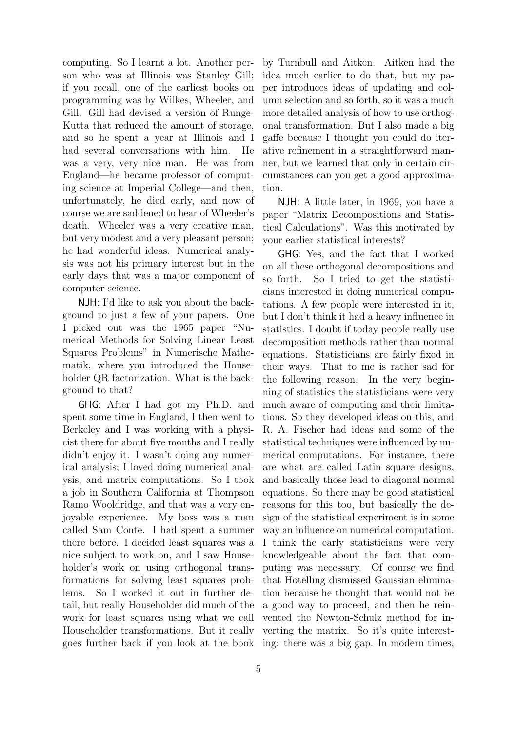computing. So I learnt a lot. Another person who was at Illinois was Stanley Gill; if you recall, one of the earliest books on programming was by Wilkes, Wheeler, and Gill. Gill had devised a version of Runge-Kutta that reduced the amount of storage, and so he spent a year at Illinois and I had several conversations with him. He was a very, very nice man. He was from England—he became professor of computing science at Imperial College—and then, unfortunately, he died early, and now of course we are saddened to hear of Wheeler's death. Wheeler was a very creative man, but very modest and a very pleasant person; he had wonderful ideas. Numerical analysis was not his primary interest but in the early days that was a major component of computer science.

NJH: I'd like to ask you about the background to just a few of your papers. One I picked out was the 1965 paper "Numerical Methods for Solving Linear Least Squares Problems" in Numerische Mathematik, where you introduced the Householder QR factorization. What is the background to that?

GHG: After I had got my Ph.D. and spent some time in England, I then went to Berkeley and I was working with a physicist there for about five months and I really didn't enjoy it. I wasn't doing any numerical analysis; I loved doing numerical analysis, and matrix computations. So I took a job in Southern California at Thompson Ramo Wooldridge, and that was a very enjoyable experience. My boss was a man called Sam Conte. I had spent a summer there before. I decided least squares was a nice subject to work on, and I saw Householder's work on using orthogonal transformations for solving least squares problems. So I worked it out in further detail, but really Householder did much of the work for least squares using what we call Householder transformations. But it really goes further back if you look at the book ing: there was a big gap. In modern times,

by Turnbull and Aitken. Aitken had the idea much earlier to do that, but my paper introduces ideas of updating and column selection and so forth, so it was a much more detailed analysis of how to use orthogonal transformation. But I also made a big gaffe because I thought you could do iterative refinement in a straightforward manner, but we learned that only in certain circumstances can you get a good approximation.

NJH: A little later, in 1969, you have a paper "Matrix Decompositions and Statistical Calculations". Was this motivated by your earlier statistical interests?

GHG: Yes, and the fact that I worked on all these orthogonal decompositions and so forth. So I tried to get the statisticians interested in doing numerical computations. A few people were interested in it, but I don't think it had a heavy influence in statistics. I doubt if today people really use decomposition methods rather than normal equations. Statisticians are fairly fixed in their ways. That to me is rather sad for the following reason. In the very beginning of statistics the statisticians were very much aware of computing and their limitations. So they developed ideas on this, and R. A. Fischer had ideas and some of the statistical techniques were influenced by numerical computations. For instance, there are what are called Latin square designs, and basically those lead to diagonal normal equations. So there may be good statistical reasons for this too, but basically the design of the statistical experiment is in some way an influence on numerical computation. I think the early statisticians were very knowledgeable about the fact that computing was necessary. Of course we find that Hotelling dismissed Gaussian elimination because he thought that would not be a good way to proceed, and then he reinvented the Newton-Schulz method for inverting the matrix. So it's quite interest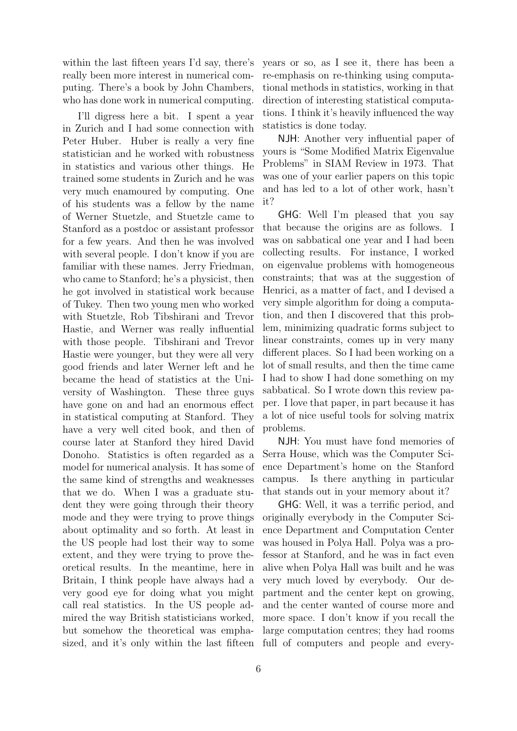within the last fifteen years I'd say, there's really been more interest in numerical computing. There's a book by John Chambers, who has done work in numerical computing.

I'll digress here a bit. I spent a year in Zurich and I had some connection with Peter Huber. Huber is really a very fine statistician and he worked with robustness in statistics and various other things. He trained some students in Zurich and he was very much enamoured by computing. One of his students was a fellow by the name of Werner Stuetzle, and Stuetzle came to Stanford as a postdoc or assistant professor for a few years. And then he was involved with several people. I don't know if you are familiar with these names. Jerry Friedman, who came to Stanford; he's a physicist, then he got involved in statistical work because of Tukey. Then two young men who worked with Stuetzle, Rob Tibshirani and Trevor Hastie, and Werner was really influential with those people. Tibshirani and Trevor Hastie were younger, but they were all very good friends and later Werner left and he became the head of statistics at the University of Washington. These three guys have gone on and had an enormous effect in statistical computing at Stanford. They have a very well cited book, and then of course later at Stanford they hired David Donoho. Statistics is often regarded as a model for numerical analysis. It has some of the same kind of strengths and weaknesses that we do. When I was a graduate student they were going through their theory mode and they were trying to prove things about optimality and so forth. At least in the US people had lost their way to some extent, and they were trying to prove theoretical results. In the meantime, here in Britain, I think people have always had a very good eye for doing what you might call real statistics. In the US people admired the way British statisticians worked, but somehow the theoretical was emphayears or so, as I see it, there has been a re-emphasis on re-thinking using computational methods in statistics, working in that direction of interesting statistical computations. I think it's heavily influenced the way statistics is done today.

NJH: Another very influential paper of yours is "Some Modified Matrix Eigenvalue Problems" in SIAM Review in 1973. That was one of your earlier papers on this topic and has led to a lot of other work, hasn't it?

GHG: Well I'm pleased that you say that because the origins are as follows. I was on sabbatical one year and I had been collecting results. For instance, I worked on eigenvalue problems with homogeneous constraints; that was at the suggestion of Henrici, as a matter of fact, and I devised a very simple algorithm for doing a computation, and then I discovered that this problem, minimizing quadratic forms subject to linear constraints, comes up in very many different places. So I had been working on a lot of small results, and then the time came I had to show I had done something on my sabbatical. So I wrote down this review paper. I love that paper, in part because it has a lot of nice useful tools for solving matrix problems.

NJH: You must have fond memories of Serra House, which was the Computer Science Department's home on the Stanford campus. Is there anything in particular that stands out in your memory about it?

sized, and it's only within the last fifteen full of computers and people and every-GHG: Well, it was a terrific period, and originally everybody in the Computer Science Department and Computation Center was housed in Polya Hall. Polya was a professor at Stanford, and he was in fact even alive when Polya Hall was built and he was very much loved by everybody. Our department and the center kept on growing, and the center wanted of course more and more space. I don't know if you recall the large computation centres; they had rooms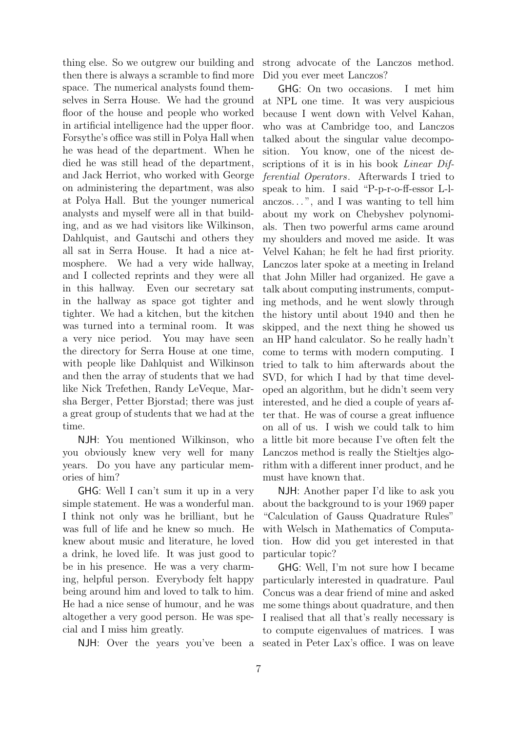thing else. So we outgrew our building and then there is always a scramble to find more space. The numerical analysts found themselves in Serra House. We had the ground floor of the house and people who worked in artificial intelligence had the upper floor. Forsythe's office was still in Polya Hall when he was head of the department. When he died he was still head of the department, and Jack Herriot, who worked with George on administering the department, was also at Polya Hall. But the younger numerical analysts and myself were all in that building, and as we had visitors like Wilkinson, Dahlquist, and Gautschi and others they all sat in Serra House. It had a nice atmosphere. We had a very wide hallway, and I collected reprints and they were all in this hallway. Even our secretary sat in the hallway as space got tighter and tighter. We had a kitchen, but the kitchen was turned into a terminal room. It was a very nice period. You may have seen the directory for Serra House at one time, with people like Dahlquist and Wilkinson and then the array of students that we had like Nick Trefethen, Randy LeVeque, Marsha Berger, Petter Bjorstad; there was just a great group of students that we had at the time.

NJH: You mentioned Wilkinson, who you obviously knew very well for many years. Do you have any particular memories of him?

GHG: Well I can't sum it up in a very simple statement. He was a wonderful man. I think not only was he brilliant, but he was full of life and he knew so much. He knew about music and literature, he loved a drink, he loved life. It was just good to be in his presence. He was a very charming, helpful person. Everybody felt happy being around him and loved to talk to him. He had a nice sense of humour, and he was altogether a very good person. He was special and I miss him greatly.

strong advocate of the Lanczos method. Did you ever meet Lanczos?

GHG: On two occasions. I met him at NPL one time. It was very auspicious because I went down with Velvel Kahan, who was at Cambridge too, and Lanczos talked about the singular value decomposition. You know, one of the nicest descriptions of it is in his book *Linear Dif*ferential Operators. Afterwards I tried to speak to him. I said "P-p-r-o-ff-essor L-lanczos. . . ", and I was wanting to tell him about my work on Chebyshev polynomials. Then two powerful arms came around my shoulders and moved me aside. It was Velvel Kahan; he felt he had first priority. Lanczos later spoke at a meeting in Ireland that John Miller had organized. He gave a talk about computing instruments, computing methods, and he went slowly through the history until about 1940 and then he skipped, and the next thing he showed us an HP hand calculator. So he really hadn't come to terms with modern computing. I tried to talk to him afterwards about the SVD, for which I had by that time developed an algorithm, but he didn't seem very interested, and he died a couple of years after that. He was of course a great influence on all of us. I wish we could talk to him a little bit more because I've often felt the Lanczos method is really the Stieltjes algorithm with a different inner product, and he must have known that.

NJH: Another paper I'd like to ask you about the background to is your 1969 paper "Calculation of Gauss Quadrature Rules" with Welsch in Mathematics of Computation. How did you get interested in that particular topic?

NJH: Over the years you've been a seated in Peter Lax's office. I was on leave GHG: Well, I'm not sure how I became particularly interested in quadrature. Paul Concus was a dear friend of mine and asked me some things about quadrature, and then I realised that all that's really necessary is to compute eigenvalues of matrices. I was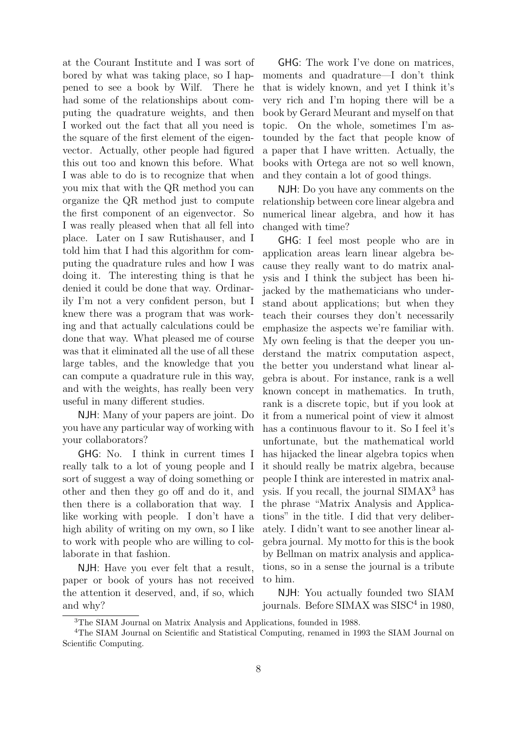at the Courant Institute and I was sort of bored by what was taking place, so I happened to see a book by Wilf. There he had some of the relationships about computing the quadrature weights, and then I worked out the fact that all you need is the square of the first element of the eigenvector. Actually, other people had figured this out too and known this before. What I was able to do is to recognize that when you mix that with the QR method you can organize the QR method just to compute the first component of an eigenvector. So I was really pleased when that all fell into place. Later on I saw Rutishauser, and I told him that I had this algorithm for computing the quadrature rules and how I was doing it. The interesting thing is that he denied it could be done that way. Ordinarily I'm not a very confident person, but I knew there was a program that was working and that actually calculations could be done that way. What pleased me of course was that it eliminated all the use of all these large tables, and the knowledge that you can compute a quadrature rule in this way, and with the weights, has really been very useful in many different studies.

NJH: Many of your papers are joint. Do you have any particular way of working with your collaborators?

GHG: No. I think in current times I really talk to a lot of young people and I sort of suggest a way of doing something or other and then they go off and do it, and then there is a collaboration that way. I like working with people. I don't have a high ability of writing on my own, so I like to work with people who are willing to collaborate in that fashion.

NJH: Have you ever felt that a result, paper or book of yours has not received the attention it deserved, and, if so, which and why?

GHG: The work I've done on matrices, moments and quadrature—I don't think that is widely known, and yet I think it's very rich and I'm hoping there will be a book by Gerard Meurant and myself on that topic. On the whole, sometimes I'm astounded by the fact that people know of a paper that I have written. Actually, the books with Ortega are not so well known, and they contain a lot of good things.

NJH: Do you have any comments on the relationship between core linear algebra and numerical linear algebra, and how it has changed with time?

GHG: I feel most people who are in application areas learn linear algebra because they really want to do matrix analysis and I think the subject has been hijacked by the mathematicians who understand about applications; but when they teach their courses they don't necessarily emphasize the aspects we're familiar with. My own feeling is that the deeper you understand the matrix computation aspect, the better you understand what linear algebra is about. For instance, rank is a well known concept in mathematics. In truth, rank is a discrete topic, but if you look at it from a numerical point of view it almost has a continuous flavour to it. So I feel it's unfortunate, but the mathematical world has hijacked the linear algebra topics when it should really be matrix algebra, because people I think are interested in matrix analysis. If you recall, the journal SIMAX<sup>3</sup> has the phrase "Matrix Analysis and Applications" in the title. I did that very deliberately. I didn't want to see another linear algebra journal. My motto for this is the book by Bellman on matrix analysis and applications, so in a sense the journal is a tribute to him.

NJH: You actually founded two SIAM journals. Before SIMAX was SISC<sup>4</sup> in 1980,

<sup>3</sup>The SIAM Journal on Matrix Analysis and Applications, founded in 1988.

<sup>&</sup>lt;sup>4</sup>The SIAM Journal on Scientific and Statistical Computing, renamed in 1993 the SIAM Journal on Scientific Computing.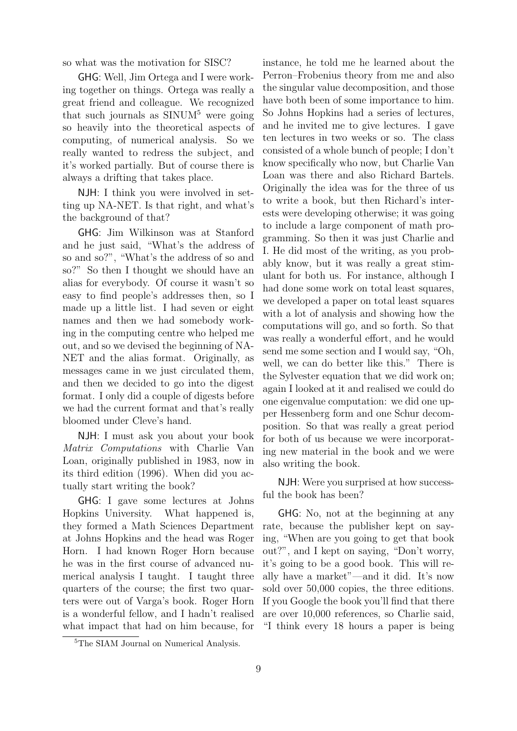so what was the motivation for SISC?

GHG: Well, Jim Ortega and I were working together on things. Ortega was really a great friend and colleague. We recognized that such journals as  $\text{SINUM}^5$  were going so heavily into the theoretical aspects of computing, of numerical analysis. So we really wanted to redress the subject, and it's worked partially. But of course there is always a drifting that takes place.

NJH: I think you were involved in setting up NA-NET. Is that right, and what's the background of that?

GHG: Jim Wilkinson was at Stanford and he just said, "What's the address of so and so?", "What's the address of so and so?" So then I thought we should have an alias for everybody. Of course it wasn't so easy to find people's addresses then, so I made up a little list. I had seven or eight names and then we had somebody working in the computing centre who helped me out, and so we devised the beginning of NA-NET and the alias format. Originally, as messages came in we just circulated them, and then we decided to go into the digest format. I only did a couple of digests before we had the current format and that's really bloomed under Cleve's hand.

NJH: I must ask you about your book Matrix Computations with Charlie Van Loan, originally published in 1983, now in its third edition (1996). When did you actually start writing the book?

GHG: I gave some lectures at Johns Hopkins University. What happened is, they formed a Math Sciences Department at Johns Hopkins and the head was Roger Horn. I had known Roger Horn because he was in the first course of advanced numerical analysis I taught. I taught three quarters of the course; the first two quarters were out of Varga's book. Roger Horn is a wonderful fellow, and I hadn't realised what impact that had on him because, for instance, he told me he learned about the Perron–Frobenius theory from me and also the singular value decomposition, and those have both been of some importance to him. So Johns Hopkins had a series of lectures, and he invited me to give lectures. I gave ten lectures in two weeks or so. The class consisted of a whole bunch of people; I don't know specifically who now, but Charlie Van Loan was there and also Richard Bartels. Originally the idea was for the three of us to write a book, but then Richard's interests were developing otherwise; it was going to include a large component of math programming. So then it was just Charlie and I. He did most of the writing, as you probably know, but it was really a great stimulant for both us. For instance, although I had done some work on total least squares, we developed a paper on total least squares with a lot of analysis and showing how the computations will go, and so forth. So that was really a wonderful effort, and he would send me some section and I would say, "Oh, well, we can do better like this." There is the Sylvester equation that we did work on; again I looked at it and realised we could do one eigenvalue computation: we did one upper Hessenberg form and one Schur decomposition. So that was really a great period for both of us because we were incorporating new material in the book and we were also writing the book.

NJH: Were you surprised at how successful the book has been?

GHG: No, not at the beginning at any rate, because the publisher kept on saying, "When are you going to get that book out?", and I kept on saying, "Don't worry, it's going to be a good book. This will really have a market"—and it did. It's now sold over 50,000 copies, the three editions. If you Google the book you'll find that there are over 10,000 references, so Charlie said, "I think every 18 hours a paper is being

<sup>&</sup>lt;sup>5</sup>The SIAM Journal on Numerical Analysis.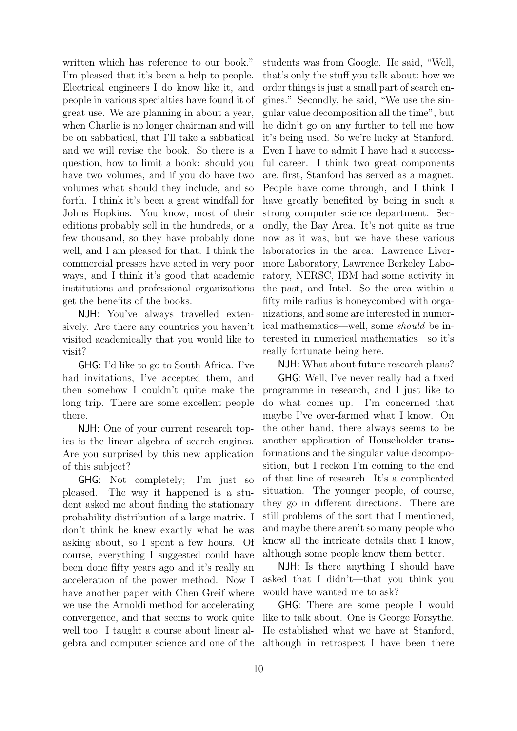written which has reference to our book." I'm pleased that it's been a help to people. Electrical engineers I do know like it, and people in various specialties have found it of great use. We are planning in about a year, when Charlie is no longer chairman and will be on sabbatical, that I'll take a sabbatical and we will revise the book. So there is a question, how to limit a book: should you have two volumes, and if you do have two volumes what should they include, and so forth. I think it's been a great windfall for Johns Hopkins. You know, most of their editions probably sell in the hundreds, or a few thousand, so they have probably done well, and I am pleased for that. I think the commercial presses have acted in very poor ways, and I think it's good that academic institutions and professional organizations get the benefits of the books.

NJH: You've always travelled extensively. Are there any countries you haven't visited academically that you would like to visit?

GHG: I'd like to go to South Africa. I've had invitations, I've accepted them, and then somehow I couldn't quite make the long trip. There are some excellent people there.

NJH: One of your current research topics is the linear algebra of search engines. Are you surprised by this new application of this subject?

GHG: Not completely; I'm just so pleased. The way it happened is a student asked me about finding the stationary probability distribution of a large matrix. I don't think he knew exactly what he was asking about, so I spent a few hours. Of course, everything I suggested could have been done fifty years ago and it's really an acceleration of the power method. Now I have another paper with Chen Greif where we use the Arnoldi method for accelerating convergence, and that seems to work quite well too. I taught a course about linear algebra and computer science and one of the students was from Google. He said, "Well, that's only the stuff you talk about; how we order things is just a small part of search engines." Secondly, he said, "We use the singular value decomposition all the time", but he didn't go on any further to tell me how it's being used. So we're lucky at Stanford. Even I have to admit I have had a successful career. I think two great components are, first, Stanford has served as a magnet. People have come through, and I think I have greatly benefited by being in such a strong computer science department. Secondly, the Bay Area. It's not quite as true now as it was, but we have these various laboratories in the area: Lawrence Livermore Laboratory, Lawrence Berkeley Laboratory, NERSC, IBM had some activity in the past, and Intel. So the area within a fifty mile radius is honeycombed with organizations, and some are interested in numerical mathematics—well, some should be interested in numerical mathematics—so it's really fortunate being here.

NJH: What about future research plans?

GHG: Well, I've never really had a fixed programme in research, and I just like to do what comes up. I'm concerned that maybe I've over-farmed what I know. On the other hand, there always seems to be another application of Householder transformations and the singular value decomposition, but I reckon I'm coming to the end of that line of research. It's a complicated situation. The younger people, of course, they go in different directions. There are still problems of the sort that I mentioned, and maybe there aren't so many people who know all the intricate details that I know, although some people know them better.

NJH: Is there anything I should have asked that I didn't—that you think you would have wanted me to ask?

GHG: There are some people I would like to talk about. One is George Forsythe. He established what we have at Stanford, although in retrospect I have been there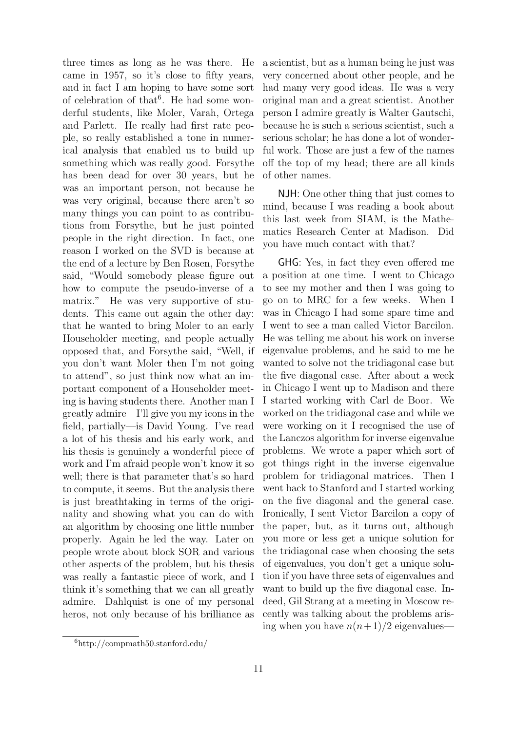three times as long as he was there. He came in 1957, so it's close to fifty years, and in fact I am hoping to have some sort of celebration of that<sup>6</sup>. He had some wonderful students, like Moler, Varah, Ortega and Parlett. He really had first rate people, so really established a tone in numerical analysis that enabled us to build up something which was really good. Forsythe has been dead for over 30 years, but he was an important person, not because he was very original, because there aren't so many things you can point to as contributions from Forsythe, but he just pointed people in the right direction. In fact, one reason I worked on the SVD is because at the end of a lecture by Ben Rosen, Forsythe said, "Would somebody please figure out how to compute the pseudo-inverse of a matrix." He was very supportive of students. This came out again the other day: that he wanted to bring Moler to an early Householder meeting, and people actually opposed that, and Forsythe said, "Well, if you don't want Moler then I'm not going to attend", so just think now what an important component of a Householder meeting is having students there. Another man I greatly admire—I'll give you my icons in the field, partially—is David Young. I've read a lot of his thesis and his early work, and his thesis is genuinely a wonderful piece of work and I'm afraid people won't know it so well; there is that parameter that's so hard to compute, it seems. But the analysis there is just breathtaking in terms of the originality and showing what you can do with an algorithm by choosing one little number properly. Again he led the way. Later on people wrote about block SOR and various other aspects of the problem, but his thesis was really a fantastic piece of work, and I think it's something that we can all greatly admire. Dahlquist is one of my personal heros, not only because of his brilliance as a scientist, but as a human being he just was very concerned about other people, and he had many very good ideas. He was a very original man and a great scientist. Another person I admire greatly is Walter Gautschi, because he is such a serious scientist, such a serious scholar; he has done a lot of wonderful work. Those are just a few of the names off the top of my head; there are all kinds of other names.

NJH: One other thing that just comes to mind, because I was reading a book about this last week from SIAM, is the Mathematics Research Center at Madison. Did you have much contact with that?

GHG: Yes, in fact they even offered me a position at one time. I went to Chicago to see my mother and then I was going to go on to MRC for a few weeks. When I was in Chicago I had some spare time and I went to see a man called Victor Barcilon. He was telling me about his work on inverse eigenvalue problems, and he said to me he wanted to solve not the tridiagonal case but the five diagonal case. After about a week in Chicago I went up to Madison and there I started working with Carl de Boor. We worked on the tridiagonal case and while we were working on it I recognised the use of the Lanczos algorithm for inverse eigenvalue problems. We wrote a paper which sort of got things right in the inverse eigenvalue problem for tridiagonal matrices. Then I went back to Stanford and I started working on the five diagonal and the general case. Ironically, I sent Victor Barcilon a copy of the paper, but, as it turns out, although you more or less get a unique solution for the tridiagonal case when choosing the sets of eigenvalues, you don't get a unique solution if you have three sets of eigenvalues and want to build up the five diagonal case. Indeed, Gil Strang at a meeting in Moscow recently was talking about the problems arising when you have  $n(n+1)/2$  eigenvalues—

<sup>6</sup>http://compmath50.stanford.edu/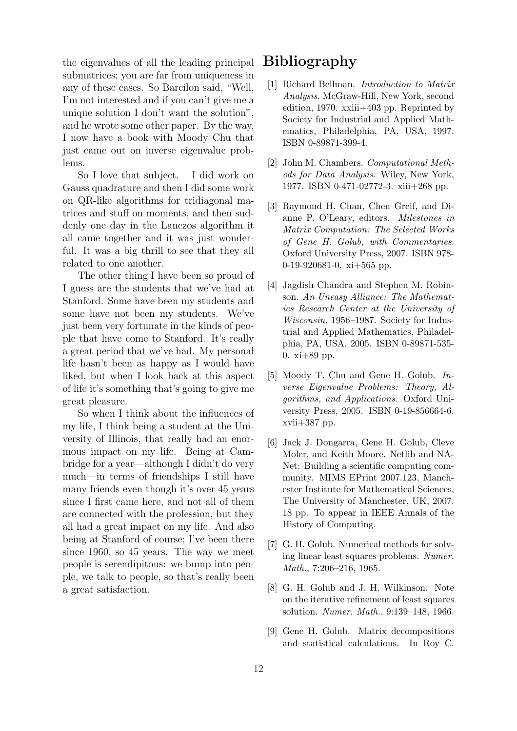the eigenvalues of all the leading principal submatrices; you are far from uniqueness in any of these cases. So Barcilon said, "Well, I'm not interested and if you can't give me a unique solution I don't want the solution", and he wrote some other paper. By the way, I now have a book with Moody Chu that just came out on inverse eigenvalue problems.

So I love that subject. I did work on Gauss quadrature and then I did some work on QR-like algorithms for tridiagonal matrices and stuff on moments, and then suddenly one day in the Lanczos algorithm it all came together and it was just wonderful. It was a big thrill to see that they all related to one another.

The other thing I have been so proud of I guess are the students that we've had at Stanford. Some have been my students and some have not been my students. We've just been very fortunate in the kinds of people that have come to Stanford. It's really a great period that we've had. My personal life hasn't been as happy as I would have liked, but when I look back at this aspect of life it's something that's going to give me great pleasure.

So when I think about the influences of my life, I think being a student at the University of Illinois, that really had an enormous impact on my life. Being at Cambridge for a year—although I didn't do very much—in terms of friendships I still have many friends even though it's over 45 years since I first came here, and not all of them are connected with the profession, but they all had a great impact on my life. And also being at Stanford of course; I've been there since 1960, so 45 years. The way we meet people is serendipitous: we bump into people, we talk to people, so that's really been a great satisfaction.

## Bibliography

- [1] Richard Bellman. Introduction to Matrix Analysis. McGraw-Hill, New York, second edition, 1970. xxiii+403 pp. Reprinted by Society for Industrial and Applied Mathematics, Philadelphia, PA, USA, 1997. ISBN 0-89871-399-4.
- [2] John M. Chambers. Computational Methods for Data Analysis. Wiley, New York, 1977. ISBN 0-471-02772-3. xiii+268 pp.
- [3] Raymond H. Chan, Chen Greif, and Dianne P. O'Leary, editors. Milestones in Matrix Computation: The Selected Works of Gene H. Golub, with Commentaries. Oxford University Press, 2007. ISBN 978- 0-19-920681-0.  $xi+565$  pp.
- [4] Jagdish Chandra and Stephen M. Robinson. An Uneasy Alliance: The Mathematics Research Center at the University of Wisconsin, 1956–1987. Society for Industrial and Applied Mathematics, Philadelphia, PA, USA, 2005. ISBN 0-89871-535- 0. xi+89 pp.
- [5] Moody T. Chu and Gene H. Golub. Inverse Eigenvalue Problems: Theory, Algorithms, and Applications. Oxford University Press, 2005. ISBN 0-19-856664-6. xvii+387 pp.
- [6] Jack J. Dongarra, Gene H. Golub, Cleve Moler, and Keith Moore. Netlib and NA-Net: Building a scientific computing community. MIMS EPrint 2007.123, Manchester Institute for Mathematical Sciences, The University of Manchester, UK, 2007. 18 pp. To appear in IEEE Annals of the History of Computing.
- [7] G. H. Golub. Numerical methods for solving linear least squares problems. Numer. Math., 7:206–216, 1965.
- [8] G. H. Golub and J. H. Wilkinson. Note on the iterative refinement of least squares solution. Numer. Math., 9:139–148, 1966.
- [9] Gene H. Golub. Matrix decompositions and statistical calculations. In Roy C.